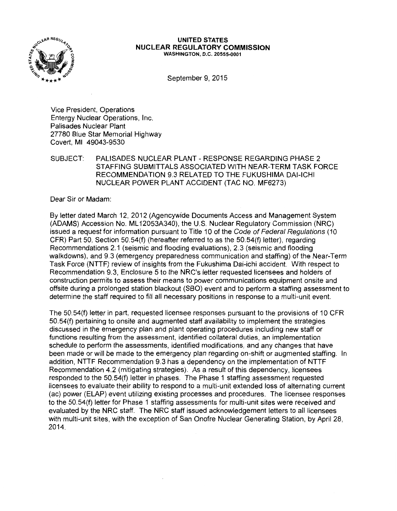

## **UNITED STATES NUCLEAR REGULATORY COMMISSION**  WASHINGTON, D.C. 20555-0001

September 9, 2015

Vice President, Operations Entergy Nuclear Operations, Inc. Palisades Nuclear Plant 27780 Blue Star Memorial Highway Covert, Ml 49043-9530

SUBJECT: PALISADES NUCLEAR PLANT - RESPONSE REGARDING PHASE 2 STAFFING SUBMITTALS ASSOCIATED WITH NEAR-TERM TASK FORCE RECOMMENDATION 9.3 RELATED TO THE FUKUSHIMA DAl-ICHI NUCLEAR POWER PLANT ACCIDENT (TAC NO. MF6273)

Dear Sir or Madam:

By letter dated March 12, 2012 (Agencywide Documents Access and Management System (ADAMS) Accession No. ML 12053A340), the U.S. Nuclear Regulatory Commission (NRC) issued a request for information pursuant to Title 10 of the Code of Federal Regulations (10 CFR) Part 50, Section 50.54(f) (hereafter referred to as the 50.54(f) letter), regarding Recommendations 2.1 (seismic and flooding evaluations), 2.3 (seismic and flooding walkdowns), and 9.3 (emergency preparedness communication and staffing) of the Near-Term Task Force (NTTF) review of insights from the Fukushima Dai-ichi accident. With respect to Recommendation 9.3, Enclosure 5 to the NRC's letter requested licensees and holders of construction permits to assess their means to power communications equipment onsite and offsite during a prolonged station blackout (SBO) event and to perform a staffing assessment to determine the staff required to fill all necessary positions in response to a multi-unit event.

The 50.54(f) letter in part, requested licensee responses pursuant to the provisions of 10 CFR 50.54(f) pertaining to onsite and augmented staff availability to implement the strategies discussed in the emergency plan and plant operating procedures including new staff or functions resulting from the assessment, identified collateral duties, an implementation schedule to perform the assessments, identified modifications, and any changes that have been made or will be made to the emergency plan regarding on-shift or augmented staffing. In addition, NTTF Recommendation 9.3 has a dependency on the implementation of NTTF Recommendation 4.2 (mitigating strategies). As a result of this dependency, licensees responded to the 50.54(f) letter in phases. The Phase 1 staffing assessment requested licensees to evaluate their ability to respond to a multi-unit extended loss of alternating current (ac) power (ELAP) event utilizing existing processes and procedures. The licensee responses to the 50.54(f) letter for Phase 1 staffing assessments for multi-unit sites were received and evaluated by the NRC staff. The NRC staff issued acknowledgement letters to all licensees with multi-unit sites, with the exception of San Onofre Nuclear Generating Station, by April 28, 2014.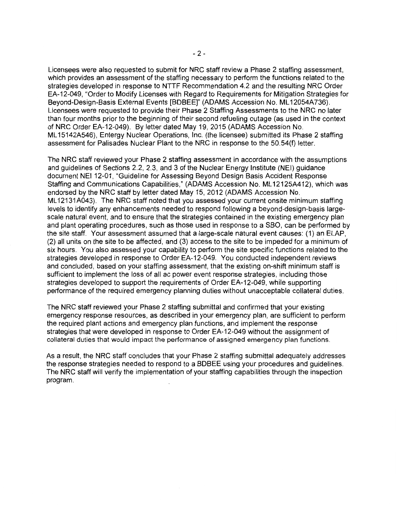Licensees were also requested to submit for NRC staff review a Phase 2 staffing assessment, which provides an assessment of the staffing necessary to perform the functions related to the strategies developed in response to NTTF Recommendation 4.2 and the resulting NRC Order EA-12-049, "Order to Modify Licenses with Regard to Requirements for Mitigation Strategies for Beyond-Design-Basis External Events [BDBEE]" (ADAMS Accession No. ML 12054A736). Licensees were requested to provide their Phase 2 Staffing Assessments to the NRC no later than four months prior to the beginning of their second refueling outage (as used in the context of NRC Order EA-12-049). By letter dated May 19, 2015 (ADAMS Accession No. ML 15142A546), Entergy Nuclear Operations, Inc. (the licensee) submitted its Phase 2 staffing assessment for Palisades Nuclear Plant to the NRC in response to the 50.54(f) letter.

The NRC staff reviewed your Phase 2 staffing assessment in accordance with the assumptions and guidelines of Sections 2.2, 2.3, and 3 of the Nuclear Energy Institute (NEI) guidance document NEI 12-01, "Guideline for Assessing Beyond Design Basis Accident Response Staffing and Communications Capabilities," (ADAMS Accession No. ML 12125A412), which was endorsed by the NRC staff by letter dated May 15, 2012 (ADAMS Accession No. ML 12131A043). The NRC staff noted that you assessed your current onsite minimum staffing levels to identify any enhancements needed to respond following a beyond-design-basis largescale natural event, and to ensure that the strategies contained in the existing emergency plan and plant operating procedures, such as those used in response to a SBO, can be performed by the site staff. Your assessment assumed that a large-scale natural event causes: ( 1) an ELAP, (2) all units on the site to be affected, and (3) access to the site to be impeded for a minimum of six hours. You also assessed your capability to perform the site specific functions related to the strategies developed in response to Order EA-12-049. You conducted independent reviews and concluded, based on your staffing assessment, that the existing on-shift minimum staff is sufficient to implement the loss of all ac power event response strategies, including those strategies developed to support the requirements of Order EA-12-049, while supporting performance of the required emergency planning duties without unacceptable collateral duties.

The NRC staff reviewed your Phase 2 staffing submittal and confirmed that your existing emergency response resources, as described in your emergency plan, are sufficient to perform the required plant actions and emergency plan functions, and implement the response strategies that were developed in response to Order EA-12-049 without the assignment of collateral duties that would impact the performance of assigned emergency plan functions.

As a result, the NRC staff concludes that your Phase 2 staffing submittal adequately addresses the response strategies needed to respond to a BDBEE using your procedures and guidelines. The NRC staff will verify the implementation of your staffing capabilities through the inspection program.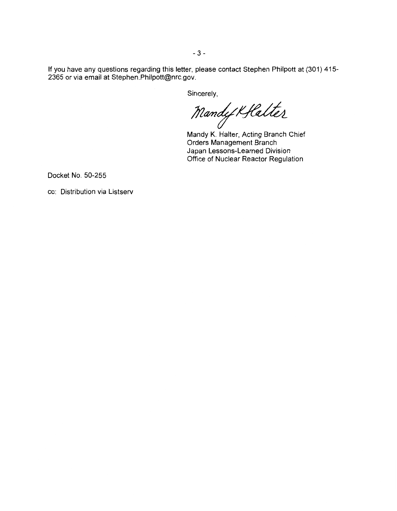If you have any questions regarding this letter, please contact Stephen Philpott at (301) 415- 2365 or via email at Stephen.Philpott@nrc.gov.

Sincerely,<br>Mandy Kflalter

Mandy K. Halter, Acting Branch Chief Orders Management Branch Japan Lessons-Learned Division Office of Nuclear Reactor Regulation

Docket No. 50-255

cc: Distribution via Listserv